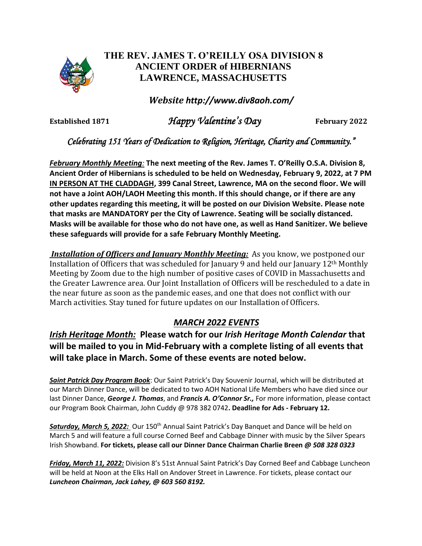

## **THE REV. JAMES T. O'REILLY OSA DIVISION 8 ANCIENT ORDER of HIBERNIANS LAWRENCE, MASSACHUSETTS**

*Website http://www.div8aoh.com/*

**Established 1871** *Happy Valentine's Day* **February <sup>2022</sup>**

*Celebrating 151 Years of Dedication to Religion, Heritage, Charity and Community."*

*February Monthly Meeting:* **The next meeting of the Rev. James T. O'Reilly O.S.A. Division 8, Ancient Order of Hibernians is scheduled to be held on Wednesday, February 9, 2022, at 7 PM IN PERSON AT THE CLADDAGH, 399 Canal Street, Lawrence, MA on the second floor. We will not have a Joint AOH/LAOH Meeting this month. If this should change, or if there are any other updates regarding this meeting, it will be posted on our Division Website. Please note that masks are MANDATORY per the City of Lawrence. Seating will be socially distanced. Masks will be available for those who do not have one, as well as Hand Sanitizer. We believe these safeguards will provide for a safe February Monthly Meeting.**

*Installation of Officers and January Monthly Meeting:* As you know, we postponed our Installation of Officers that was scheduled for January 9 and held our January 12th Monthly Meeting by Zoom due to the high number of positive cases of COVID in Massachusetts and the Greater Lawrence area. Our Joint Installation of Officers will be rescheduled to a date in the near future as soon as the pandemic eases, and one that does not conflict with our March activities. Stay tuned for future updates on our Installation of Officers.

## *MARCH 2022 EVENTS*

*Irish Heritage Month:* **Please watch for our** *Irish Heritage Month Calendar* **that will be mailed to you in Mid-February with a complete listing of all events that will take place in March. Some of these events are noted below.** 

*Saint Patrick Day Program Book*: Our Saint Patrick's Day Souvenir Journal, which will be distributed at our March Dinner Dance, will be dedicated to two AOH National Life Members who have died since our last Dinner Dance, *George J. Thomas*, and *Francis A. O'Connor Sr.,* For more information, please contact our Program Book Chairman, John Cuddy @ 978 382 0742**. Deadline for Ads - February 12.**

*Saturday, March 5, 2022:* Our 150th Annual Saint Patrick's Day Banquet and Dance will be held on March 5 and will feature a full course Corned Beef and Cabbage Dinner with music by the Silver Spears Irish Showband. **For tickets, please call our Dinner Dance Chairman Charlie Breen** *@ 508 328 0323*

*Friday, March 11, 2022:* Division 8's 51st Annual Saint Patrick's Day Corned Beef and Cabbage Luncheon will be held at Noon at the Elks Hall on Andover Street in Lawrence. For tickets, please contact our *Luncheon Chairman, Jack Lahey, @ 603 560 8192.*